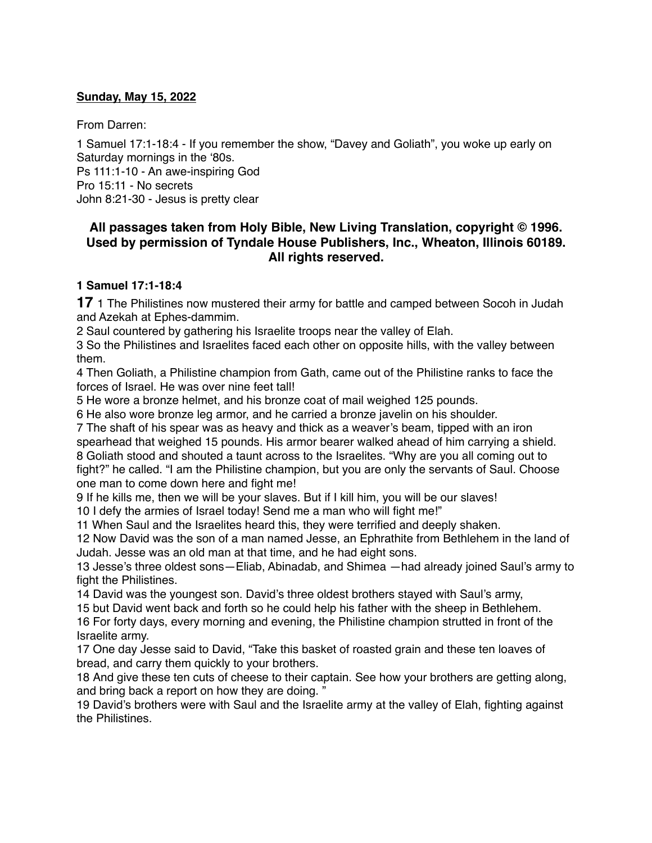### **Sunday, May 15, 2022**

From Darren:

1 Samuel 17:1-18:4 - If you remember the show, "Davey and Goliath", you woke up early on Saturday mornings in the '80s. Ps 111:1-10 - An awe-inspiring God Pro 15:11 - No secrets John 8:21-30 - Jesus is pretty clear

### **All passages taken from Holy Bible, [New Living Translation](http://www.newlivingtranslation.com/), copyright © 1996. Used by permission of [Tyndale House Publishers](http://tyndale.com/), Inc., Wheaton, Illinois 60189. All rights reserved.**

### **1 Samuel 17:1-18:4**

**17** 1 The Philistines now mustered their army for battle and camped between Socoh in Judah and Azekah at Ephes-dammim.

2 Saul countered by gathering his Israelite troops near the valley of Elah.

3 So the Philistines and Israelites faced each other on opposite hills, with the valley between them.

4 Then Goliath, a Philistine champion from Gath, came out of the Philistine ranks to face the forces of Israel. He was over nine feet tall!

5 He wore a bronze helmet, and his bronze coat of mail weighed 125 pounds.

6 He also wore bronze leg armor, and he carried a bronze javelin on his shoulder.

7 The shaft of his spear was as heavy and thick as a weaver's beam, tipped with an iron spearhead that weighed 15 pounds. His armor bearer walked ahead of him carrying a shield. 8 Goliath stood and shouted a taunt across to the Israelites. "Why are you all coming out to fight?" he called. "I am the Philistine champion, but you are only the servants of Saul. Choose one man to come down here and fight me!

9 If he kills me, then we will be your slaves. But if I kill him, you will be our slaves! 10 I defy the armies of Israel today! Send me a man who will fight me!"

11 When Saul and the Israelites heard this, they were terrified and deeply shaken.

12 Now David was the son of a man named Jesse, an Ephrathite from Bethlehem in the land of Judah. Jesse was an old man at that time, and he had eight sons.

13 Jesse's three oldest sons—Eliab, Abinadab, and Shimea —had already joined Saul's army to fight the Philistines.

14 David was the youngest son. David's three oldest brothers stayed with Saul's army,

15 but David went back and forth so he could help his father with the sheep in Bethlehem.

16 For forty days, every morning and evening, the Philistine champion strutted in front of the Israelite army.

17 One day Jesse said to David, "Take this basket of roasted grain and these ten loaves of bread, and carry them quickly to your brothers.

18 And give these ten cuts of cheese to their captain. See how your brothers are getting along, and bring back a report on how they are doing. "

19 David's brothers were with Saul and the Israelite army at the valley of Elah, fighting against the Philistines.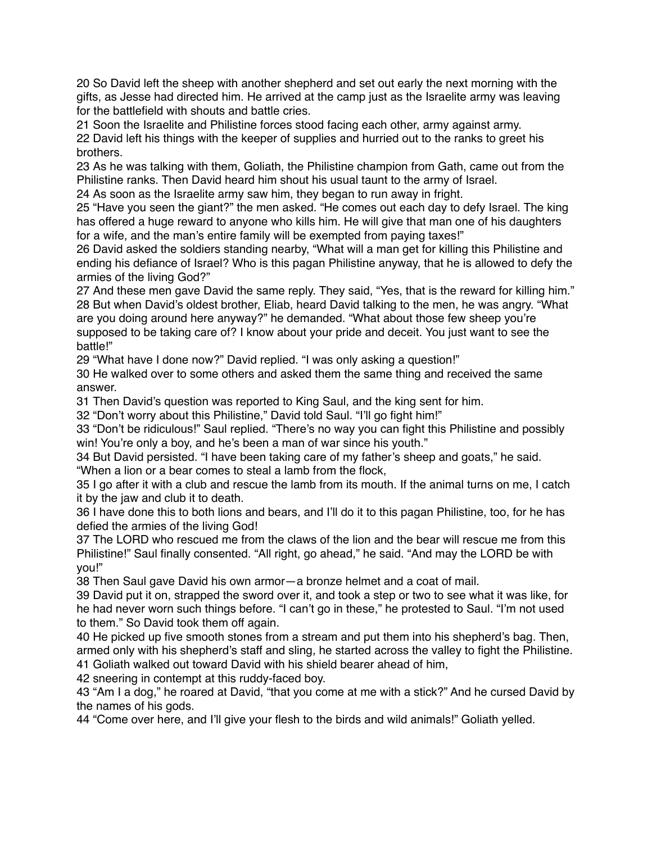20 So David left the sheep with another shepherd and set out early the next morning with the gifts, as Jesse had directed him. He arrived at the camp just as the Israelite army was leaving for the battlefield with shouts and battle cries.

21 Soon the Israelite and Philistine forces stood facing each other, army against army. 22 David left his things with the keeper of supplies and hurried out to the ranks to greet his brothers.

23 As he was talking with them, Goliath, the Philistine champion from Gath, came out from the Philistine ranks. Then David heard him shout his usual taunt to the army of Israel.

24 As soon as the Israelite army saw him, they began to run away in fright.

25 "Have you seen the giant?" the men asked. "He comes out each day to defy Israel. The king has offered a huge reward to anyone who kills him. He will give that man one of his daughters for a wife, and the man's entire family will be exempted from paying taxes!"

26 David asked the soldiers standing nearby, "What will a man get for killing this Philistine and ending his defiance of Israel? Who is this pagan Philistine anyway, that he is allowed to defy the armies of the living God?"

27 And these men gave David the same reply. They said, "Yes, that is the reward for killing him." 28 But when David's oldest brother, Eliab, heard David talking to the men, he was angry. "What are you doing around here anyway?" he demanded. "What about those few sheep you're supposed to be taking care of? I know about your pride and deceit. You just want to see the battle!"

29 "What have I done now?" David replied. "I was only asking a question!"

30 He walked over to some others and asked them the same thing and received the same answer.

31 Then David's question was reported to King Saul, and the king sent for him.

32 "Don't worry about this Philistine," David told Saul. "I'll go fight him!"

33 "Don't be ridiculous!" Saul replied. "There's no way you can fight this Philistine and possibly win! You're only a boy, and he's been a man of war since his youth."

34 But David persisted. "I have been taking care of my father's sheep and goats," he said.

"When a lion or a bear comes to steal a lamb from the flock,

35 I go after it with a club and rescue the lamb from its mouth. If the animal turns on me, I catch it by the jaw and club it to death.

36 I have done this to both lions and bears, and I'll do it to this pagan Philistine, too, for he has defied the armies of the living God!

37 The LORD who rescued me from the claws of the lion and the bear will rescue me from this Philistine!" Saul finally consented. "All right, go ahead," he said. "And may the LORD be with you!"

38 Then Saul gave David his own armor—a bronze helmet and a coat of mail.

39 David put it on, strapped the sword over it, and took a step or two to see what it was like, for he had never worn such things before. "I can't go in these," he protested to Saul. "I'm not used to them." So David took them off again.

40 He picked up five smooth stones from a stream and put them into his shepherd's bag. Then, armed only with his shepherd's staff and sling, he started across the valley to fight the Philistine. 41 Goliath walked out toward David with his shield bearer ahead of him,

42 sneering in contempt at this ruddy-faced boy.

43 "Am I a dog," he roared at David, "that you come at me with a stick?" And he cursed David by the names of his gods.

44 "Come over here, and I'll give your flesh to the birds and wild animals!" Goliath yelled.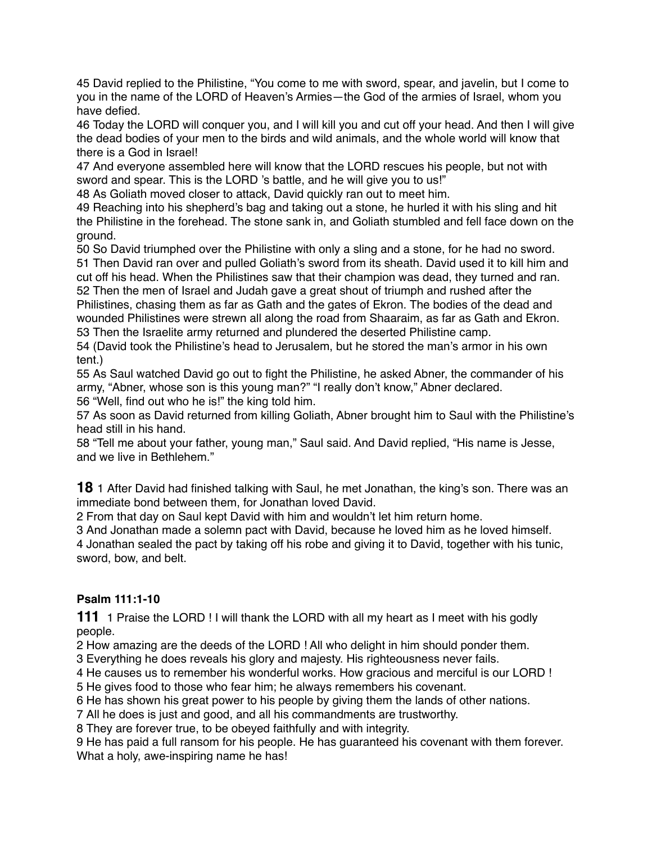45 David replied to the Philistine, "You come to me with sword, spear, and javelin, but I come to you in the name of the LORD of Heaven's Armies—the God of the armies of Israel, whom you have defied.

46 Today the LORD will conquer you, and I will kill you and cut off your head. And then I will give the dead bodies of your men to the birds and wild animals, and the whole world will know that there is a God in Israel!

47 And everyone assembled here will know that the LORD rescues his people, but not with sword and spear. This is the LORD 's battle, and he will give you to us!"

48 As Goliath moved closer to attack, David quickly ran out to meet him.

49 Reaching into his shepherd's bag and taking out a stone, he hurled it with his sling and hit the Philistine in the forehead. The stone sank in, and Goliath stumbled and fell face down on the ground.

 So David triumphed over the Philistine with only a sling and a stone, for he had no sword. Then David ran over and pulled Goliath's sword from its sheath. David used it to kill him and cut off his head. When the Philistines saw that their champion was dead, they turned and ran. Then the men of Israel and Judah gave a great shout of triumph and rushed after the

Philistines, chasing them as far as Gath and the gates of Ekron. The bodies of the dead and wounded Philistines were strewn all along the road from Shaaraim, as far as Gath and Ekron. 53 Then the Israelite army returned and plundered the deserted Philistine camp.

54 (David took the Philistine's head to Jerusalem, but he stored the man's armor in his own tent.)

55 As Saul watched David go out to fight the Philistine, he asked Abner, the commander of his army, "Abner, whose son is this young man?" "I really don't know," Abner declared. 56 "Well, find out who he is!" the king told him.

57 As soon as David returned from killing Goliath, Abner brought him to Saul with the Philistine's head still in his hand.

58 "Tell me about your father, young man," Saul said. And David replied, "His name is Jesse, and we live in Bethlehem."

**18** 1 After David had finished talking with Saul, he met Jonathan, the king's son. There was an immediate bond between them, for Jonathan loved David.

2 From that day on Saul kept David with him and wouldn't let him return home.

3 And Jonathan made a solemn pact with David, because he loved him as he loved himself.

4 Jonathan sealed the pact by taking off his robe and giving it to David, together with his tunic, sword, bow, and belt.

# **Psalm 111:1-10**

**111** 1 Praise the LORD ! I will thank the LORD with all my heart as I meet with his godly people.

2 How amazing are the deeds of the LORD ! All who delight in him should ponder them.

3 Everything he does reveals his glory and majesty. His righteousness never fails.

4 He causes us to remember his wonderful works. How gracious and merciful is our LORD !

5 He gives food to those who fear him; he always remembers his covenant.

6 He has shown his great power to his people by giving them the lands of other nations.

7 All he does is just and good, and all his commandments are trustworthy.

8 They are forever true, to be obeyed faithfully and with integrity.

9 He has paid a full ransom for his people. He has guaranteed his covenant with them forever. What a holy, awe-inspiring name he has!